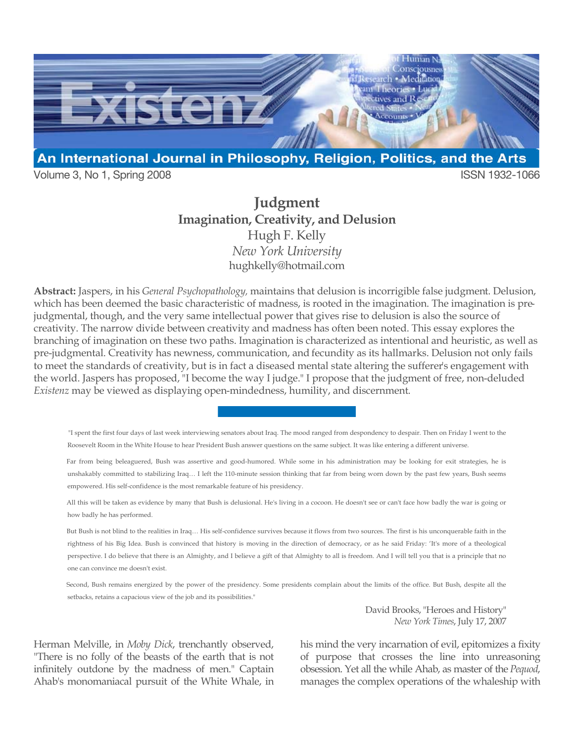

Volume 3, No 1, Spring 2008 **ISSN 1932-1066** 

# **Judgment Imagination, Creativity, and Delusion** Hugh F. Kelly *New York University* hughkelly@hotmail.com

**Abstract:** Jaspers, in his *General Psychopathology,* maintains that delusion is incorrigible false judgment. Delusion, which has been deemed the basic characteristic of madness, is rooted in the imagination. The imagination is prejudgmental, though, and the very same intellectual power that gives rise to delusion is also the source of creativity. The narrow divide between creativity and madness has often been noted. This essay explores the branching of imagination on these two paths. Imagination is characterized as intentional and heuristic, as well as pre-judgmental. Creativity has newness, communication, and fecundity as its hallmarks. Delusion not only fails to meet the standards of creativity, but is in fact a diseased mental state altering the sufferer's engagement with the world. Jaspers has proposed, "I become the way I judge." I propose that the judgment of free, non-deluded *Existenz* may be viewed as displaying open-mindedness, humility, and discernment.

"I spent the first four days of last week interviewing senators about Iraq. The mood ranged from despondency to despair. Then on Friday I went to the Roosevelt Room in the White House to hear President Bush answer questions on the same subject. It was like entering a different universe.

Far from being beleaguered, Bush was assertive and good-humored. While some in his administration may be looking for exit strategies, he is unshakably committed to stabilizing Iraq… I left the 110-minute session thinking that far from being worn down by the past few years, Bush seems empowered. His self-confidence is the most remarkable feature of his presidency.

All this will be taken as evidence by many that Bush is delusional. He's living in a cocoon. He doesn't see or can't face how badly the war is going or how badly he has performed.

But Bush is not blind to the realities in Iraq… His self-confidence survives because it flows from two sources. The first is his unconquerable faith in the rightness of his Big Idea. Bush is convinced that history is moving in the direction of democracy, or as he said Friday: 'It's more of a theological perspective. I do believe that there is an Almighty, and I believe a gift of that Almighty to all is freedom. And I will tell you that is a principle that no one can convince me doesn't exist.

Second, Bush remains energized by the power of the presidency. Some presidents complain about the limits of the office. But Bush, despite all the setbacks, retains a capacious view of the job and its possibilities."

> David Brooks, "Heroes and History" *New York Times*, July 17, 2007

Herman Melville, in *Moby Dick*, trenchantly observed, "There is no folly of the beasts of the earth that is not infinitely outdone by the madness of men." Captain Ahab's monomaniacal pursuit of the White Whale, in his mind the very incarnation of evil, epitomizes a fixity of purpose that crosses the line into unreasoning obsession. Yet all the while Ahab, as master of the *Pequod*, manages the complex operations of the whaleship with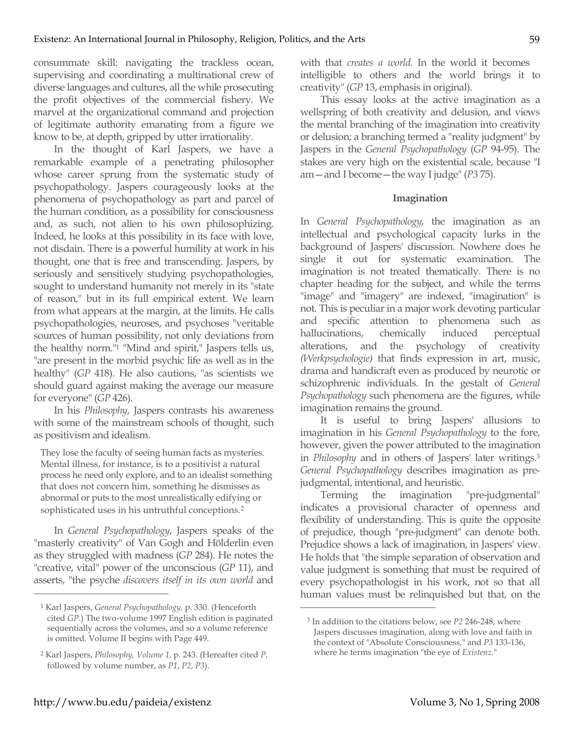consummate skill: navigating the trackless ocean, supervising and coordinating a multinational crew of diverse languages and cultures, all the while prosecuting the profit objectives of the commercial fishery. We marvel at the organizational command and projection of legitimate authority emanating from a figure we know to be, at depth, gripped by utter irrationality.

In the thought of Karl Jaspers, we have a remarkable example of a penetrating philosopher whose career sprung from the systematic study of psychopathology. Jaspers courageously looks at the phenomena of psychopathology as part and parcel of the human condition, as a possibility for consciousness and, as such, not alien to his own philosophizing. Indeed, he looks at this possibility in its face with love, not disdain. There is a powerful humility at work in his thought, one that is free and transcending. Jaspers, by seriously and sensitively studying psychopathologies, sought to understand humanity not merely in its "state of reason," but in its full empirical extent. We learn from what appears at the margin, at the limits. He calls psychopathologies, neuroses, and psychoses "veritable sources of human possibility, not only deviations from the healthy norm."1 "Mind and spirit," Jaspers tells us, "are present in the morbid psychic life as well as in the healthy" (*GP* 418). He also cautions, "as scientists we should guard against making the average our measure for everyone" (*GP* 426).

In his *Philosophy*, Jaspers contrasts his awareness with some of the mainstream schools of thought, such as positivism and idealism.

They lose the faculty of seeing human facts as mysteries. Mental illness, for instance, is to a positivist a natural process he need only explore, and to an idealist something that does not concern him, something he dismisses as abnormal or puts to the most unrealistically edifying or sophisticated uses in his untruthful conceptions.2

In *General Psychopathology*, Jaspers speaks of the "masterly creativity" of Van Gogh and Hölderlin even as they struggled with madness (*GP* 284). He notes the "creative, vital" power of the unconscious (*GP* 11), and asserts, "the psyche *discovers itself in its own world* and

with that *creates a world.* In the world it becomes intelligible to others and the world brings it to creativity" (*GP* 13, emphasis in original).

This essay looks at the active imagination as a wellspring of both creativity and delusion, and views the mental branching of the imagination into creativity or delusion; a branching termed a "reality judgment" by Jaspers in the *General Psychopathology* (*GP* 94-95). The stakes are very high on the existential scale, because "I am—and I become—the way I judge" (*P3* 75).

## **Imagination**

In *General Psychopathology*, the imagination as an intellectual and psychological capacity lurks in the background of Jaspers' discussion. Nowhere does he single it out for systematic examination. The imagination is not treated thematically. There is no chapter heading for the subject, and while the terms "image" and "imagery" are indexed, "imagination" is not. This is peculiar in a major work devoting particular and specific attention to phenomena such as hallucinations, chemically induced perceptual alterations, and the psychology of creativity *(Werkpsychologie)* that finds expression in art, music, drama and handicraft even as produced by neurotic or schizophrenic individuals. In the gestalt of *General Psychopathology* such phenomena are the figures, while imagination remains the ground.

It is useful to bring Jaspers' allusions to imagination in his *General Psychopathology* to the fore, however, given the power attributed to the imagination in *Philosophy* and in others of Jaspers' later writings.3 *General Psychopathology* describes imagination as prejudgmental, intentional, and heuristic.

Terming the imagination "pre-judgmental" indicates a provisional character of openness and flexibility of understanding. This is quite the opposite of prejudice, though "pre-judgment" can denote both. Prejudice shows a lack of imagination, in Jaspers' view. He holds that "the simple separation of observation and value judgment is something that must be required of every psychopathologist in his work, not so that all human values must be relinquished but that, on the

 $\overline{a}$ 

<sup>1</sup> Karl Jaspers, *General Psychopathology,* p. 330. (Henceforth cited *GP*.) The two-volume 1997 English edition is paginated sequentially across the volumes, and so a volume reference is omitted. Volume II begins with Page 449.

<sup>2</sup> Karl Jaspers, *Philosophy, Volume 1,* p. 243. (Hereafter cited *P*, followed by volume number, as *P1*, *P2*, *P3*).

<sup>3</sup> In addition to the citations below, see *P2* 246-248, where Jaspers discusses imagination, along with love and faith in the context of "Absolute Consciousness," and *P3* 133-136, where he terms imagination "the eye of *Existenz*."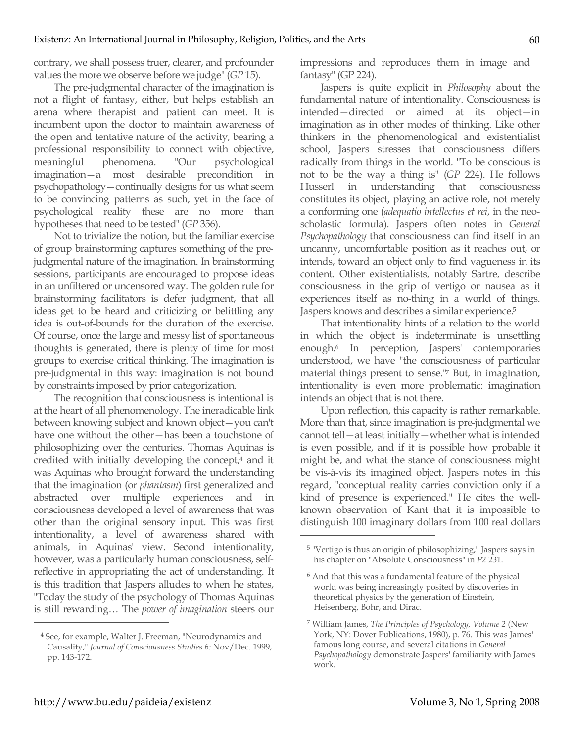contrary, we shall possess truer, clearer, and profounder values the more we observe before we judge" (*GP* 15).

The pre-judgmental character of the imagination is not a flight of fantasy, either, but helps establish an arena where therapist and patient can meet. It is incumbent upon the doctor to maintain awareness of the open and tentative nature of the activity, bearing a professional responsibility to connect with objective, meaningful phenomena. "Our psychological imagination—a most desirable precondition in psychopathology—continually designs for us what seem to be convincing patterns as such, yet in the face of psychological reality these are no more than hypotheses that need to be tested" (*GP* 356).

Not to trivialize the notion, but the familiar exercise of group brainstorming captures something of the prejudgmental nature of the imagination. In brainstorming sessions, participants are encouraged to propose ideas in an unfiltered or uncensored way. The golden rule for brainstorming facilitators is defer judgment, that all ideas get to be heard and criticizing or belittling any idea is out-of-bounds for the duration of the exercise. Of course, once the large and messy list of spontaneous thoughts is generated, there is plenty of time for most groups to exercise critical thinking. The imagination is pre-judgmental in this way: imagination is not bound by constraints imposed by prior categorization.

The recognition that consciousness is intentional is at the heart of all phenomenology. The ineradicable link between knowing subject and known object—you can't have one without the other—has been a touchstone of philosophizing over the centuries. Thomas Aquinas is credited with initially developing the concept,<sup>4</sup> and it was Aquinas who brought forward the understanding that the imagination (or *phantasm*) first generalized and abstracted over multiple experiences and in consciousness developed a level of awareness that was other than the original sensory input. This was first intentionality, a level of awareness shared with animals, in Aquinas' view. Second intentionality, however, was a particularly human consciousness, selfreflective in appropriating the act of understanding. It is this tradition that Jaspers alludes to when he states, "Today the study of the psychology of Thomas Aquinas is still rewarding… The *power of imagination* steers our

4 See, for example, Walter J. Freeman, "Neurodynamics and Causality," *Journal of Consciousness Studies 6:* Nov/Dec. 1999, pp. 143-172.

impressions and reproduces them in image and fantasy" (GP 224).

Jaspers is quite explicit in *Philosophy* about the fundamental nature of intentionality. Consciousness is intended—directed or aimed at its object—in imagination as in other modes of thinking. Like other thinkers in the phenomenological and existentialist school, Jaspers stresses that consciousness differs radically from things in the world. "To be conscious is not to be the way a thing is" (*GP* 224). He follows Husserl in understanding that consciousness constitutes its object, playing an active role, not merely a conforming one (*adequatio intellectus et rei*, in the neoscholastic formula). Jaspers often notes in *General Psychopathology* that consciousness can find itself in an uncanny, uncomfortable position as it reaches out, or intends, toward an object only to find vagueness in its content. Other existentialists, notably Sartre, describe consciousness in the grip of vertigo or nausea as it experiences itself as no-thing in a world of things. Jaspers knows and describes a similar experience.<sup>5</sup>

That intentionality hints of a relation to the world in which the object is indeterminate is unsettling enough.6 In perception, Jaspers' contemporaries understood, we have "the consciousness of particular material things present to sense."7 But, in imagination, intentionality is even more problematic: imagination intends an object that is not there.

Upon reflection, this capacity is rather remarkable. More than that, since imagination is pre-judgmental we cannot tell—at least initially—whether what is intended is even possible, and if it is possible how probable it might be, and what the stance of consciousness might be vis-à-vis its imagined object. Jaspers notes in this regard, "conceptual reality carries conviction only if a kind of presence is experienced." He cites the wellknown observation of Kant that it is impossible to distinguish 100 imaginary dollars from 100 real dollars

 $\overline{a}$ 

<sup>5 &</sup>quot;Vertigo is thus an origin of philosophizing," Jaspers says in his chapter on "Absolute Consciousness" in *P2* 231.

<sup>6</sup> And that this was a fundamental feature of the physical world was being increasingly posited by discoveries in theoretical physics by the generation of Einstein, Heisenberg, Bohr, and Dirac.

<sup>7</sup> William James, *The Principles of Psychology, Volume 2* (New York, NY: Dover Publications, 1980), p. 76. This was James' famous long course, and several citations in *General Psychopathology* demonstrate Jaspers' familiarity with James' work.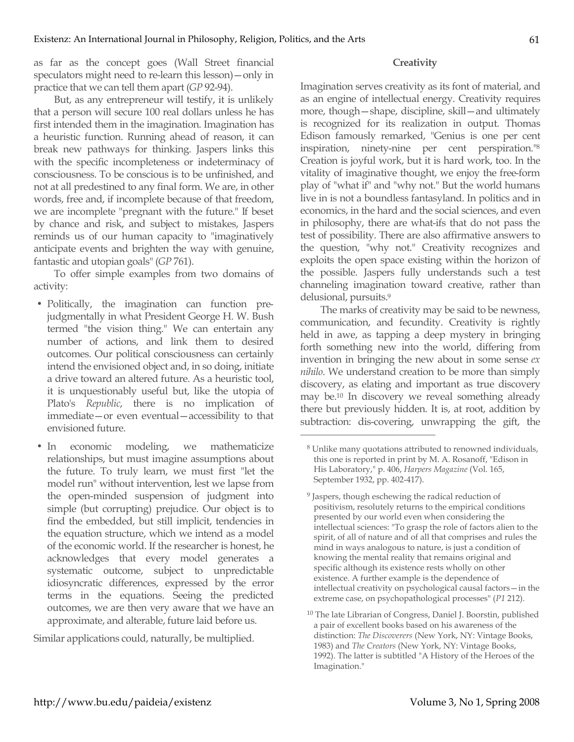as far as the concept goes (Wall Street financial speculators might need to re-learn this lesson)—only in practice that we can tell them apart (*GP* 92-94).

But, as any entrepreneur will testify, it is unlikely that a person will secure 100 real dollars unless he has first intended them in the imagination. Imagination has a heuristic function. Running ahead of reason, it can break new pathways for thinking. Jaspers links this with the specific incompleteness or indeterminacy of consciousness. To be conscious is to be unfinished, and not at all predestined to any final form. We are, in other words, free and, if incomplete because of that freedom, we are incomplete "pregnant with the future." If beset by chance and risk, and subject to mistakes, Jaspers reminds us of our human capacity to "imaginatively anticipate events and brighten the way with genuine, fantastic and utopian goals" (*GP* 761).

To offer simple examples from two domains of activity:

- Politically, the imagination can function prejudgmentally in what President George H. W. Bush termed "the vision thing." We can entertain any number of actions, and link them to desired outcomes. Our political consciousness can certainly intend the envisioned object and, in so doing, initiate a drive toward an altered future. As a heuristic tool, it is unquestionably useful but, like the utopia of Plato's *Republic*, there is no implication of immediate—or even eventual—accessibility to that envisioned future.
- In economic modeling, we mathematicize relationships, but must imagine assumptions about the future. To truly learn, we must first "let the model run" without intervention, lest we lapse from the open-minded suspension of judgment into simple (but corrupting) prejudice. Our object is to find the embedded, but still implicit, tendencies in the equation structure, which we intend as a model of the economic world. If the researcher is honest, he acknowledges that every model generates a systematic outcome, subject to unpredictable idiosyncratic differences, expressed by the error terms in the equations. Seeing the predicted outcomes, we are then very aware that we have an approximate, and alterable, future laid before us.

Similar applications could, naturally, be multiplied.

## **Creativity**

Imagination serves creativity as its font of material, and as an engine of intellectual energy. Creativity requires more, though—shape, discipline, skill—and ultimately is recognized for its realization in output. Thomas Edison famously remarked, "Genius is one per cent inspiration, ninety-nine per cent perspiration."8 Creation is joyful work, but it is hard work, too. In the vitality of imaginative thought, we enjoy the free-form play of "what if" and "why not." But the world humans live in is not a boundless fantasyland. In politics and in economics, in the hard and the social sciences, and even in philosophy, there are what-ifs that do not pass the test of possibility. There are also affirmative answers to the question, "why not." Creativity recognizes and exploits the open space existing within the horizon of the possible. Jaspers fully understands such a test channeling imagination toward creative, rather than delusional, pursuits.9

The marks of creativity may be said to be newness, communication, and fecundity. Creativity is rightly held in awe, as tapping a deep mystery in bringing forth something new into the world, differing from invention in bringing the new about in some sense *ex nihilo*. We understand creation to be more than simply discovery, as elating and important as true discovery may be.10 In discovery we reveal something already there but previously hidden. It is, at root, addition by subtraction: dis-covering, unwrapping the gift, the

<sup>8</sup> Unlike many quotations attributed to renowned individuals, this one is reported in print by M. A. Rosanoff, "Edison in His Laboratory," p. 406, *Harpers Magazine* (Vol. 165, September 1932, pp. 402-417).

<sup>9</sup> Jaspers, though eschewing the radical reduction of positivism, resolutely returns to the empirical conditions presented by our world even when considering the intellectual sciences: "To grasp the role of factors alien to the spirit, of all of nature and of all that comprises and rules the mind in ways analogous to nature, is just a condition of knowing the mental reality that remains original and specific although its existence rests wholly on other existence. A further example is the dependence of intellectual creativity on psychological causal factors—in the extreme case, on psychopathological processes" (*P1* 212).

<sup>10</sup> The late Librarian of Congress, Daniel J. Boorstin, published a pair of excellent books based on his awareness of the distinction: *The Discoverers* (New York, NY: Vintage Books, 1983) and *The Creators* (New York, NY: Vintage Books, 1992). The latter is subtitled "A History of the Heroes of the Imagination."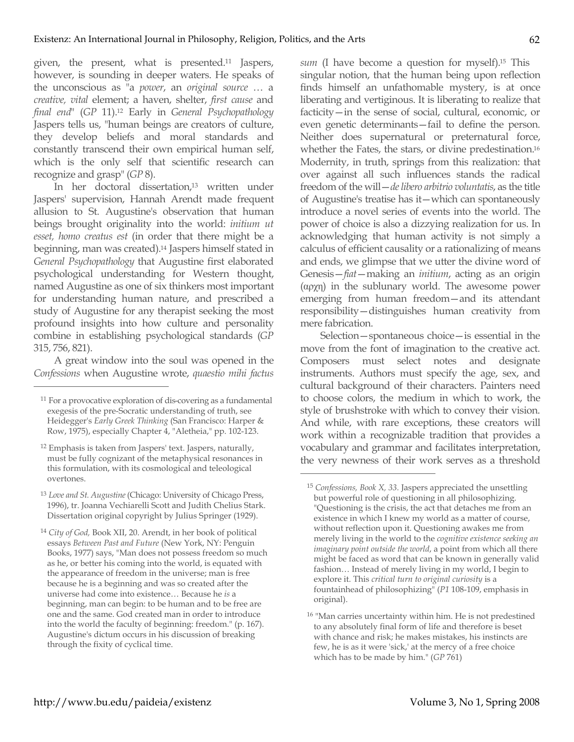given, the present, what is presented.11 Jaspers, however, is sounding in deeper waters. He speaks of the unconscious as "a *power*, an *original source* … a *creative, vital* element; a haven, shelter, *first cause* and *final end*" (*GP* 11).12 Early in *General Psychopathology* Jaspers tells us, "human beings are creators of culture, they develop beliefs and moral standards and constantly transcend their own empirical human self, which is the only self that scientific research can recognize and grasp" (*GP* 8).

In her doctoral dissertation,<sup>13</sup> written under Jaspers' supervision, Hannah Arendt made frequent allusion to St. Augustine's observation that human beings brought originality into the world: *initium ut esset, homo creatus est* (in order that there might be a beginning, man was created).14 Jaspers himself stated in *General Psychopathology* that Augustine first elaborated psychological understanding for Western thought, named Augustine as one of six thinkers most important for understanding human nature, and prescribed a study of Augustine for any therapist seeking the most profound insights into how culture and personality combine in establishing psychological standards (*GP* 315, 756, 821).

A great window into the soul was opened in the *Confessions* when Augustine wrote, *quaestio mihi factus* 

 $\overline{a}$ 

<sup>13</sup> *Love and St. Augustine* (Chicago: University of Chicago Press, 1996), tr. Joanna Vechiarelli Scott and Judith Chelius Stark. Dissertation original copyright by Julius Springer (1929).

*sum* (I have become a question for myself).15 This singular notion, that the human being upon reflection finds himself an unfathomable mystery, is at once liberating and vertiginous. It is liberating to realize that facticity—in the sense of social, cultural, economic, or even genetic determinants—fail to define the person. Neither does supernatural or preternatural force, whether the Fates, the stars, or divine predestination.16 Modernity, in truth, springs from this realization: that over against all such influences stands the radical freedom of the will—*de libero arbitrio voluntatis*, as the title of Augustine's treatise has it—which can spontaneously introduce a novel series of events into the world. The power of choice is also a dizzying realization for us. In acknowledging that human activity is not simply a calculus of efficient causality or a rationalizing of means and ends, we glimpse that we utter the divine word of Genesis—*fiat*—making an *initium*, acting as an origin (αρχη) in the sublunary world. The awesome power emerging from human freedom—and its attendant responsibility—distinguishes human creativity from mere fabrication.

Selection—spontaneous choice—is essential in the move from the font of imagination to the creative act. Composers must select notes and designate instruments. Authors must specify the age, sex, and cultural background of their characters. Painters need to choose colors, the medium in which to work, the style of brushstroke with which to convey their vision. And while, with rare exceptions, these creators will work within a recognizable tradition that provides a vocabulary and grammar and facilitates interpretation, the very newness of their work serves as a threshold

<sup>11</sup> For a provocative exploration of dis-covering as a fundamental exegesis of the pre-Socratic understanding of truth, see Heidegger's *Early Greek Thinking* (San Francisco: Harper & Row, 1975), especially Chapter 4, "Aletheia," pp. 102-123.

<sup>12</sup> Emphasis is taken from Jaspers' text. Jaspers, naturally, must be fully cognizant of the metaphysical resonances in this formulation, with its cosmological and teleological overtones.

<sup>14</sup> *City of God,* Book XII, 20. Arendt, in her book of political essays *Between Past and Future* (New York, NY: Penguin Books, 1977) says, "Man does not possess freedom so much as he, or better his coming into the world, is equated with the appearance of freedom in the universe; man is free because he is a beginning and was so created after the universe had come into existence… Because he *is* a beginning, man can begin: to be human and to be free are one and the same. God created man in order to introduce into the world the faculty of beginning: freedom." (p. 167). Augustine's dictum occurs in his discussion of breaking through the fixity of cyclical time.

<sup>15</sup> *Confessions, Book X, 33.* Jaspers appreciated the unsettling but powerful role of questioning in all philosophizing. "Questioning is the crisis, the act that detaches me from an existence in which I knew my world as a matter of course, without reflection upon it. Questioning awakes me from merely living in the world to the *cognitive existence seeking an imaginary point outside the world*, a point from which all there might be faced as word that can be known in generally valid fashion… Instead of merely living in my world, I begin to explore it. This *critical turn to original curiosity* is a fountainhead of philosophizing" (*P1* 108-109, emphasis in original).

<sup>16 &</sup>quot;Man carries uncertainty within him. He is not predestined to any absolutely final form of life and therefore is beset with chance and risk; he makes mistakes, his instincts are few, he is as it were 'sick,' at the mercy of a free choice which has to be made by him." (*GP* 761)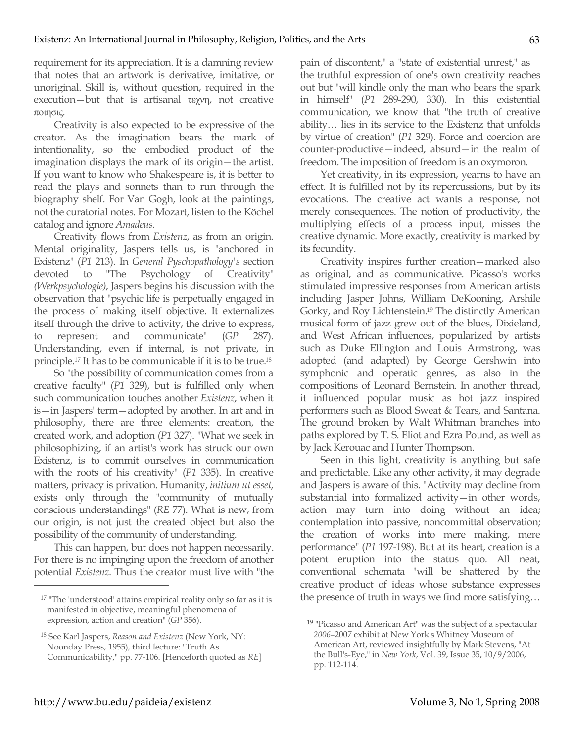requirement for its appreciation. It is a damning review that notes that an artwork is derivative, imitative, or unoriginal. Skill is, without question, required in the execution—but that is artisanal τεχνη, not creative ποιησις.

Creativity is also expected to be expressive of the creator. As the imagination bears the mark of intentionality, so the embodied product of the imagination displays the mark of its origin—the artist. If you want to know who Shakespeare is, it is better to read the plays and sonnets than to run through the biography shelf. For Van Gogh, look at the paintings, not the curatorial notes. For Mozart, listen to the Köchel catalog and ignore *Amadeus*.

Creativity flows from *Existenz*, as from an origin. Mental originality, Jaspers tells us, is "anchored in Existenz" (*P1* 213). In *General Pyschopathology's* section devoted to "The Psychology of Creativity" *(Werkpsychologie)*, Jaspers begins his discussion with the observation that "psychic life is perpetually engaged in the process of making itself objective. It externalizes itself through the drive to activity, the drive to express, to represent and communicate" (*GP* 287). Understanding, even if internal, is not private, in principle.17 It has to be communicable if it is to be true.18

So "the possibility of communication comes from a creative faculty" (*P1* 329), but is fulfilled only when such communication touches another *Existenz*, when it is—in Jaspers' term—adopted by another. In art and in philosophy, there are three elements: creation, the created work, and adoption (*P1* 327). "What we seek in philosophizing, if an artist's work has struck our own Existenz, is to commit ourselves in communication with the roots of his creativity" (*P1* 335). In creative matters, privacy is privation. Humanity, *initium ut esset*, exists only through the "community of mutually conscious understandings" (*RE* 77). What is new, from our origin, is not just the created object but also the possibility of the community of understanding.

This can happen, but does not happen necessarily. For there is no impinging upon the freedom of another potential *Existenz*. Thus the creator must live with "the

pain of discontent," a "state of existential unrest," as the truthful expression of one's own creativity reaches out but "will kindle only the man who bears the spark in himself" (*P1* 289-290, 330). In this existential communication, we know that "the truth of creative ability… lies in its service to the Existenz that unfolds by virtue of creation" (*P1* 329). Force and coercion are counter-productive—indeed, absurd—in the realm of freedom. The imposition of freedom is an oxymoron.

Yet creativity, in its expression, yearns to have an effect. It is fulfilled not by its repercussions, but by its evocations. The creative act wants a response, not merely consequences. The notion of productivity, the multiplying effects of a process input, misses the creative dynamic. More exactly, creativity is marked by its fecundity.

Creativity inspires further creation—marked also as original, and as communicative. Picasso's works stimulated impressive responses from American artists including Jasper Johns, William DeKooning, Arshile Gorky, and Roy Lichtenstein.19 The distinctly American musical form of jazz grew out of the blues, Dixieland, and West African influences, popularized by artists such as Duke Ellington and Louis Armstrong, was adopted (and adapted) by George Gershwin into symphonic and operatic genres, as also in the compositions of Leonard Bernstein. In another thread, it influenced popular music as hot jazz inspired performers such as Blood Sweat & Tears, and Santana. The ground broken by Walt Whitman branches into paths explored by T. S. Eliot and Ezra Pound, as well as by Jack Kerouac and Hunter Thompson.

Seen in this light, creativity is anything but safe and predictable. Like any other activity, it may degrade and Jaspers is aware of this. "Activity may decline from substantial into formalized activity—in other words, action may turn into doing without an idea; contemplation into passive, noncommittal observation; the creation of works into mere making, mere performance" (*P1* 197-198). But at its heart, creation is a potent eruption into the status quo. All neat, conventional schemata "will be shattered by the creative product of ideas whose substance expresses the presence of truth in ways we find more satisfying…

 $\overline{a}$ 

<sup>&</sup>lt;sup>17</sup> "The 'understood' attains empirical reality only so far as it is manifested in objective, meaningful phenomena of expression, action and creation" (*GP* 356).

<sup>18</sup> See Karl Jaspers, *Reason and Existenz* (New York, NY: Noonday Press, 1955), third lecture: "Truth As Communicability," pp. 77-106. [Henceforth quoted as *RE*]

<sup>19 &</sup>quot;Picasso and American Art" was the subject of a spectacular *2006*–2007 exhibit at New York's Whitney Museum of American Art, reviewed insightfully by Mark Stevens, "At the Bull's-Eye," in *New York*, Vol. 39, Issue 35, 10/9/2006, pp. 112-114.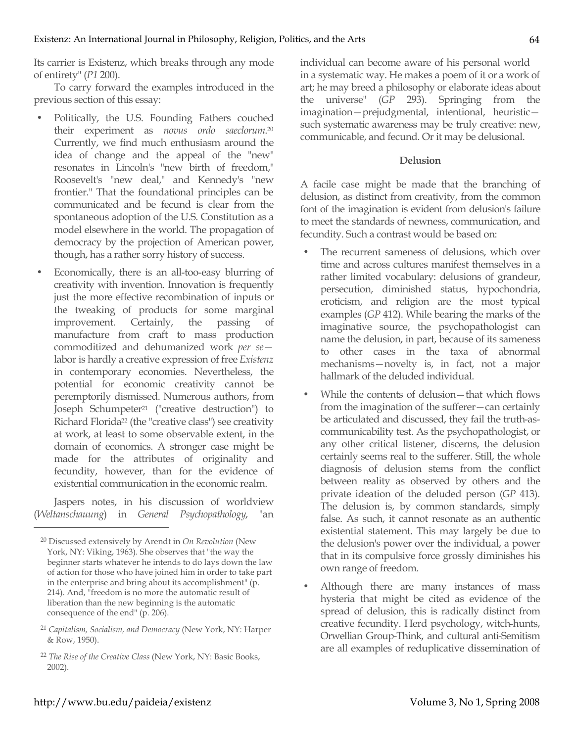Its carrier is Existenz, which breaks through any mode of entirety" (*P1* 200).

To carry forward the examples introduced in the previous section of this essay:

- Politically, the U.S. Founding Fathers couched their experiment as *novus ordo saeclorum*. 20 Currently, we find much enthusiasm around the idea of change and the appeal of the "new" resonates in Lincoln's "new birth of freedom," Roosevelt's "new deal," and Kennedy's "new frontier." That the foundational principles can be communicated and be fecund is clear from the spontaneous adoption of the U.S. Constitution as a model elsewhere in the world. The propagation of democracy by the projection of American power, though, has a rather sorry history of success.
- Economically, there is an all-too-easy blurring of creativity with invention. Innovation is frequently just the more effective recombination of inputs or the tweaking of products for some marginal improvement. Certainly, the passing of manufacture from craft to mass production commoditized and dehumanized work *per se* labor is hardly a creative expression of free *Existenz* in contemporary economies. Nevertheless, the potential for economic creativity cannot be peremptorily dismissed. Numerous authors, from Joseph Schumpeter<sup>21</sup> ("creative destruction") to Richard Florida22 (the "creative class") see creativity at work, at least to some observable extent, in the domain of economics. A stronger case might be made for the attributes of originality and fecundity, however, than for the evidence of existential communication in the economic realm.

Jaspers notes, in his discussion of worldview (*Weltanschauung*) in *General Psychopathology*, "an individual can become aware of his personal world in a systematic way. He makes a poem of it or a work of art; he may breed a philosophy or elaborate ideas about the universe" (*GP* 293). Springing from the imagination—prejudgmental, intentional, heuristic such systematic awareness may be truly creative: new, communicable, and fecund. Or it may be delusional.

## **Delusion**

A facile case might be made that the branching of delusion, as distinct from creativity, from the common font of the imagination is evident from delusion's failure to meet the standards of newness, communication, and fecundity. Such a contrast would be based on:

- The recurrent sameness of delusions, which over time and across cultures manifest themselves in a rather limited vocabulary: delusions of grandeur, persecution, diminished status, hypochondria, eroticism, and religion are the most typical examples (*GP* 412). While bearing the marks of the imaginative source, the psychopathologist can name the delusion, in part, because of its sameness to other cases in the taxa of abnormal mechanisms—novelty is, in fact, not a major hallmark of the deluded individual.
- While the contents of delusion—that which flows from the imagination of the sufferer—can certainly be articulated and discussed, they fail the truth-ascommunicability test. As the psychopathologist, or any other critical listener, discerns, the delusion certainly seems real to the sufferer. Still, the whole diagnosis of delusion stems from the conflict between reality as observed by others and the private ideation of the deluded person (*GP* 413). The delusion is, by common standards, simply false. As such, it cannot resonate as an authentic existential statement. This may largely be due to the delusion's power over the individual, a power that in its compulsive force grossly diminishes his own range of freedom.
- Although there are many instances of mass hysteria that might be cited as evidence of the spread of delusion, this is radically distinct from creative fecundity. Herd psychology, witch-hunts, Orwellian Group-Think, and cultural anti-Semitism are all examples of reduplicative dissemination of

<sup>20</sup> Discussed extensively by Arendt in *On Revolution* (New York, NY: Viking, 1963)*.* She observes that "the way the beginner starts whatever he intends to do lays down the law of action for those who have joined him in order to take part in the enterprise and bring about its accomplishment" (p. 214). And, "freedom is no more the automatic result of liberation than the new beginning is the automatic consequence of the end" (p. 206).

<sup>21</sup> *Capitalism, Socialism, and Democracy* (New York, NY: Harper & Row, 1950).

<sup>22</sup> *The Rise of the Creative Class* (New York, NY: Basic Books, 2002).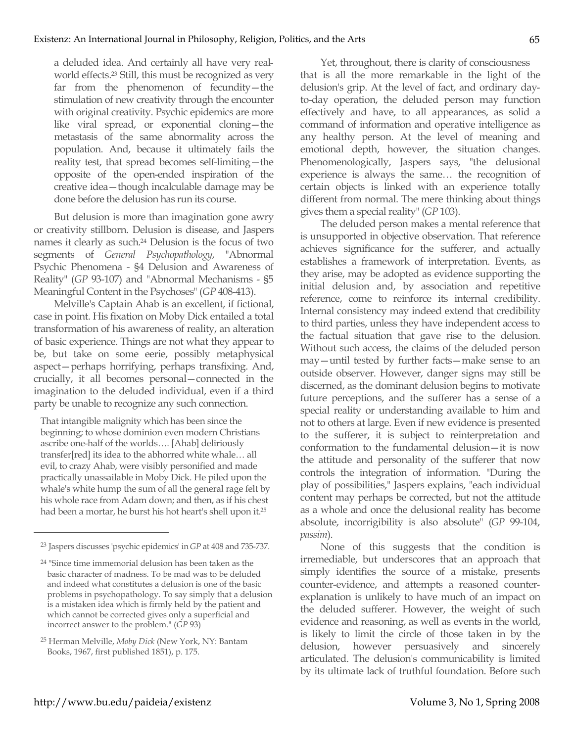a deluded idea. And certainly all have very realworld effects.23 Still, this must be recognized as very far from the phenomenon of fecundity—the stimulation of new creativity through the encounter with original creativity. Psychic epidemics are more like viral spread, or exponential cloning—the metastasis of the same abnormality across the population. And, because it ultimately fails the reality test, that spread becomes self-limiting—the opposite of the open-ended inspiration of the creative idea—though incalculable damage may be done before the delusion has run its course.

But delusion is more than imagination gone awry or creativity stillborn. Delusion is disease, and Jaspers names it clearly as such. 24 Delusion is the focus of two segments of *General Psychopathology*, "Abnormal Psychic Phenomena - §4 Delusion and Awareness of Reality" (*GP* 93-107) and "Abnormal Mechanisms - §5 Meaningful Content in the Psychoses" (*GP* 408-413).

Melville's Captain Ahab is an excellent, if fictional, case in point. His fixation on Moby Dick entailed a total transformation of his awareness of reality, an alteration of basic experience. Things are not what they appear to be, but take on some eerie, possibly metaphysical aspect—perhaps horrifying, perhaps transfixing. And, crucially, it all becomes personal—connected in the imagination to the deluded individual, even if a third party be unable to recognize any such connection.

That intangible malignity which has been since the beginning; to whose dominion even modern Christians ascribe one-half of the worlds…. [Ahab] deliriously transfer[red] its idea to the abhorred white whale… all evil, to crazy Ahab, were visibly personified and made practically unassailable in Moby Dick. He piled upon the whale's white hump the sum of all the general rage felt by his whole race from Adam down; and then, as if his chest had been a mortar, he burst his hot heart's shell upon it.25

 $\overline{a}$ 

Yet, throughout, there is clarity of consciousness that is all the more remarkable in the light of the delusion's grip. At the level of fact, and ordinary dayto-day operation, the deluded person may function effectively and have, to all appearances, as solid a command of information and operative intelligence as any healthy person. At the level of meaning and emotional depth, however, the situation changes. Phenomenologically, Jaspers says, "the delusional experience is always the same… the recognition of certain objects is linked with an experience totally different from normal. The mere thinking about things gives them a special reality" (*GP* 103).

The deluded person makes a mental reference that is unsupported in objective observation. That reference achieves significance for the sufferer, and actually establishes a framework of interpretation. Events, as they arise, may be adopted as evidence supporting the initial delusion and, by association and repetitive reference, come to reinforce its internal credibility. Internal consistency may indeed extend that credibility to third parties, unless they have independent access to the factual situation that gave rise to the delusion. Without such access, the claims of the deluded person may—until tested by further facts—make sense to an outside observer. However, danger signs may still be discerned, as the dominant delusion begins to motivate future perceptions, and the sufferer has a sense of a special reality or understanding available to him and not to others at large. Even if new evidence is presented to the sufferer, it is subject to reinterpretation and conformation to the fundamental delusion—it is now the attitude and personality of the sufferer that now controls the integration of information. "During the play of possibilities," Jaspers explains, "each individual content may perhaps be corrected, but not the attitude as a whole and once the delusional reality has become absolute, incorrigibility is also absolute" (*GP* 99-104, *passim*).

None of this suggests that the condition is irremediable, but underscores that an approach that simply identifies the source of a mistake, presents counter-evidence, and attempts a reasoned counterexplanation is unlikely to have much of an impact on the deluded sufferer. However, the weight of such evidence and reasoning, as well as events in the world, is likely to limit the circle of those taken in by the delusion, however persuasively and sincerely articulated. The delusion's communicability is limited by its ultimate lack of truthful foundation. Before such

<sup>23</sup> Jaspers discusses 'psychic epidemics' in *GP* at 408 and 735-737.

<sup>24 &</sup>quot;Since time immemorial delusion has been taken as the basic character of madness. To be mad was to be deluded and indeed what constitutes a delusion is one of the basic problems in psychopathology. To say simply that a delusion is a mistaken idea which is firmly held by the patient and which cannot be corrected gives only a superficial and incorrect answer to the problem." (*GP* 93)

<sup>25</sup> Herman Melville, *Moby Dick* (New York, NY: Bantam Books, 1967, first published 1851), p. 175.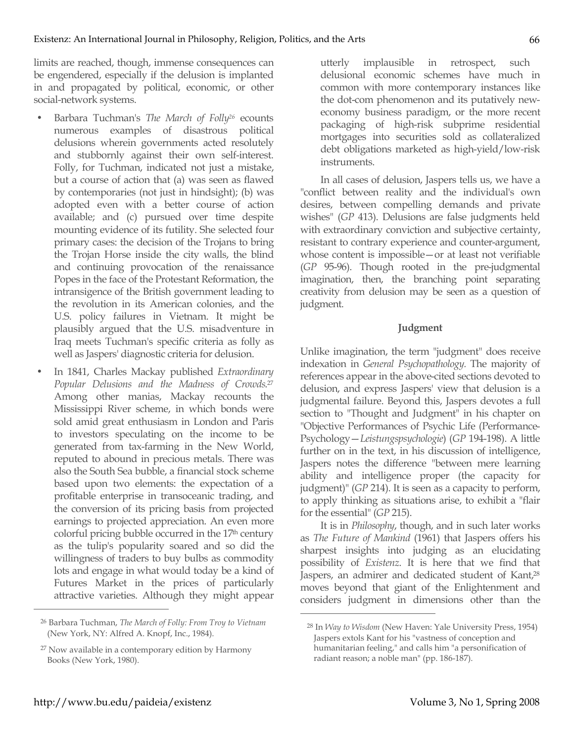limits are reached, though, immense consequences can be engendered, especially if the delusion is implanted in and propagated by political, economic, or other social-network systems.

- Barbara Tuchman's *The March of Folly26* ecounts numerous examples of disastrous political delusions wherein governments acted resolutely and stubbornly against their own self-interest. Folly, for Tuchman, indicated not just a mistake, but a course of action that (a) was seen as flawed by contemporaries (not just in hindsight); (b) was adopted even with a better course of action available; and (c) pursued over time despite mounting evidence of its futility. She selected four primary cases: the decision of the Trojans to bring the Trojan Horse inside the city walls, the blind and continuing provocation of the renaissance Popes in the face of the Protestant Reformation, the intransigence of the British government leading to the revolution in its American colonies, and the U.S. policy failures in Vietnam. It might be plausibly argued that the U.S. misadventure in Iraq meets Tuchman's specific criteria as folly as well as Jaspers' diagnostic criteria for delusion.
- In 1841, Charles Mackay published *Extraordinary Popular Delusions and the Madness of Crowds*. 27 Among other manias, Mackay recounts the Mississippi River scheme, in which bonds were sold amid great enthusiasm in London and Paris to investors speculating on the income to be generated from tax-farming in the New World, reputed to abound in precious metals. There was also the South Sea bubble, a financial stock scheme based upon two elements: the expectation of a profitable enterprise in transoceanic trading, and the conversion of its pricing basis from projected earnings to projected appreciation. An even more colorful pricing bubble occurred in the 17<sup>th</sup> century as the tulip's popularity soared and so did the willingness of traders to buy bulbs as commodity lots and engage in what would today be a kind of Futures Market in the prices of particularly attractive varieties. Although they might appear

utterly implausible in retrospect, such delusional economic schemes have much in common with more contemporary instances like the dot-com phenomenon and its putatively neweconomy business paradigm, or the more recent packaging of high-risk subprime residential mortgages into securities sold as collateralized debt obligations marketed as high-yield/low-risk instruments.

In all cases of delusion, Jaspers tells us, we have a "conflict between reality and the individual's own desires, between compelling demands and private wishes" (*GP* 413). Delusions are false judgments held with extraordinary conviction and subjective certainty, resistant to contrary experience and counter-argument, whose content is impossible—or at least not verifiable (*GP* 95-96). Though rooted in the pre-judgmental imagination, then, the branching point separating creativity from delusion may be seen as a question of judgment.

### **Judgment**

Unlike imagination, the term "judgment" does receive indexation in *General Psychopathology.* The majority of references appear in the above-cited sections devoted to delusion, and express Jaspers' view that delusion is a judgmental failure. Beyond this, Jaspers devotes a full section to "Thought and Judgment" in his chapter on "Objective Performances of Psychic Life (Performance-Psychology—*Leistungspsychologie*) (*GP* 194-198). A little further on in the text, in his discussion of intelligence, Jaspers notes the difference "between mere learning ability and intelligence proper (the capacity for judgment)" (*GP* 214). It is seen as a capacity to perform, to apply thinking as situations arise, to exhibit a "flair for the essential" (*GP* 215).

It is in *Philosophy*, though, and in such later works as *The Future of Mankind* (1961) that Jaspers offers his sharpest insights into judging as an elucidating possibility of *Existenz*. It is here that we find that Jaspers, an admirer and dedicated student of Kant,<sup>28</sup> moves beyond that giant of the Enlightenment and considers judgment in dimensions other than the

 $\overline{a}$ 

<sup>26</sup> Barbara Tuchman, *The March of Folly: From Troy to Vietnam* (New York, NY: Alfred A. Knopf, Inc., 1984).

<sup>27</sup> Now available in a contemporary edition by Harmony Books (New York, 1980).

<sup>28</sup> In *Way to Wisdom* (New Haven: Yale University Press, 1954) Jaspers extols Kant for his "vastness of conception and humanitarian feeling," and calls him "a personification of radiant reason; a noble man" (pp. 186-187).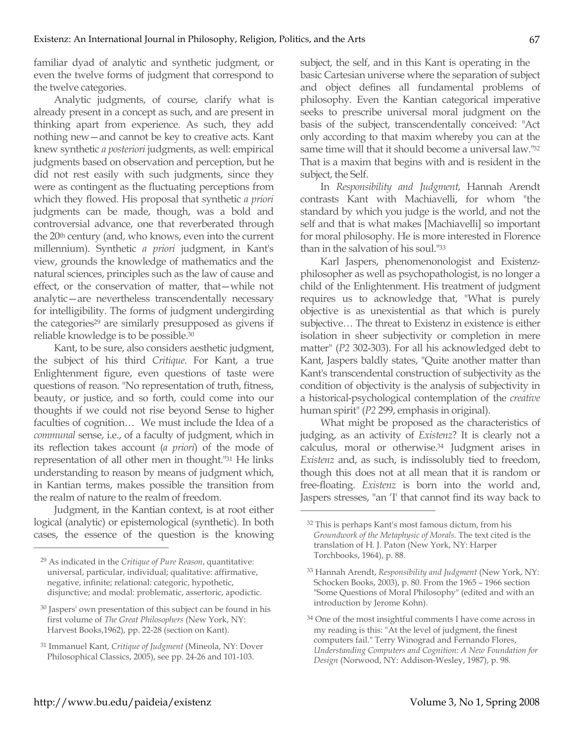familiar dyad of analytic and synthetic judgment, or even the twelve forms of judgment that correspond to the twelve categories.

Analytic judgments, of course, clarify what is already present in a concept as such, and are present in thinking apart from experience. As such, they add nothing new—and cannot be key to creative acts. Kant knew synthetic *a posteriori* judgments, as well: empirical judgments based on observation and perception, but he did not rest easily with such judgments, since they were as contingent as the fluctuating perceptions from which they flowed. His proposal that synthetic *a priori* judgments can be made, though, was a bold and controversial advance, one that reverberated through the 20<sup>th</sup> century (and, who knows, even into the current millennium). Synthetic *a priori* judgment, in Kant's view, grounds the knowledge of mathematics and the natural sciences, principles such as the law of cause and effect, or the conservation of matter, that—while not analytic—are nevertheless transcendentally necessary for intelligibility. The forms of judgment undergirding the categories<sup>29</sup> are similarly presupposed as givens if reliable knowledge is to be possible.30

Kant, to be sure, also considers aesthetic judgment, the subject of his third *Critique*. For Kant, a true Enlightenment figure, even questions of taste were questions of reason. "No representation of truth, fitness, beauty, or justice, and so forth, could come into our thoughts if we could not rise beyond Sense to higher faculties of cognition… We must include the Idea of a *communal* sense, i.e., of a faculty of judgment, which in its reflection takes account (*a priori*) of the mode of representation of all other men in thought."31 He links understanding to reason by means of judgment which, in Kantian terms, makes possible the transition from the realm of nature to the realm of freedom.

Judgment, in the Kantian context, is at root either logical (analytic) or epistemological (synthetic). In both cases, the essence of the question is the knowing subject, the self, and in this Kant is operating in the basic Cartesian universe where the separation of subject and object defines all fundamental problems of philosophy. Even the Kantian categorical imperative seeks to prescribe universal moral judgment on the basis of the subject, transcendentally conceived: "Act only according to that maxim whereby you can at the same time will that it should become a universal law."32 That is a maxim that begins with and is resident in the subject, the Self.

In *Responsibility and Judgment*, Hannah Arendt contrasts Kant with Machiavelli, for whom "the standard by which you judge is the world, and not the self and that is what makes [Machiavelli] so important for moral philosophy. He is more interested in Florence than in the salvation of his soul."33

Karl Jaspers, phenomenonologist and Existenzphilosopher as well as psychopathologist, is no longer a child of the Enlightenment. His treatment of judgment requires us to acknowledge that, "What is purely objective is as unexistential as that which is purely subjective… The threat to Existenz in existence is either isolation in sheer subjectivity or completion in mere matter" (*P2* 302-303). For all his acknowledged debt to Kant, Jaspers baldly states, "Quite another matter than Kant's transcendental construction of subjectivity as the condition of objectivity is the analysis of subjectivity in a historical-psychological contemplation of the *creative* human spirit" (*P2* 299, emphasis in original).

What might be proposed as the characteristics of judging, as an activity of *Existenz*? It is clearly not a calculus, moral or otherwise.34 Judgment arises in *Existenz* and, as such, is indissolubly tied to freedom, though this does not at all mean that it is random or free-floating. *Existenz* is born into the world and, Jaspers stresses, "an 'I' that cannot find its way back to

 $\overline{a}$ 

<sup>29</sup> As indicated in the *Critique of Pure Reason*, quantitative: universal, particular, individual; qualitative: affirmative, negative, infinite; relational: categoric, hypothetic, disjunctive; and modal: problematic, assertoric, apodictic.

<sup>30</sup> Jaspers' own presentation of this subject can be found in his first volume of *The Great Philosophers* (New York, NY: Harvest Books,1962), pp. 22-28 (section on Kant).

<sup>31</sup> Immanuel Kant, *Critique of Judgment* (Mineola, NY: Dover Philosophical Classics, 2005), see pp. 24-26 and 101-103.

<sup>32</sup> This is perhaps Kant's most famous dictum, from his *Groundwork of the Metaphysic of Morals*. The text cited is the translation of H. J. Paton (New York, NY: Harper Torchbooks, 1964), p. 88.

<sup>33</sup> Hannah Arendt, *Responsibility and Judgment* (New York, NY: Schocken Books, 2003), p. 80. From the 1965 – 1966 section "Some Questions of Moral Philosophy" (edited and with an introduction by Jerome Kohn).

<sup>&</sup>lt;sup>34</sup> One of the most insightful comments I have come across in my reading is this: "At the level of judgment, the finest computers fail." Terry Winograd and Fernando Flores, *Understanding Computers and Cognition: A New Foundation for Design* (Norwood, NY: Addison-Wesley, 1987), p. 98.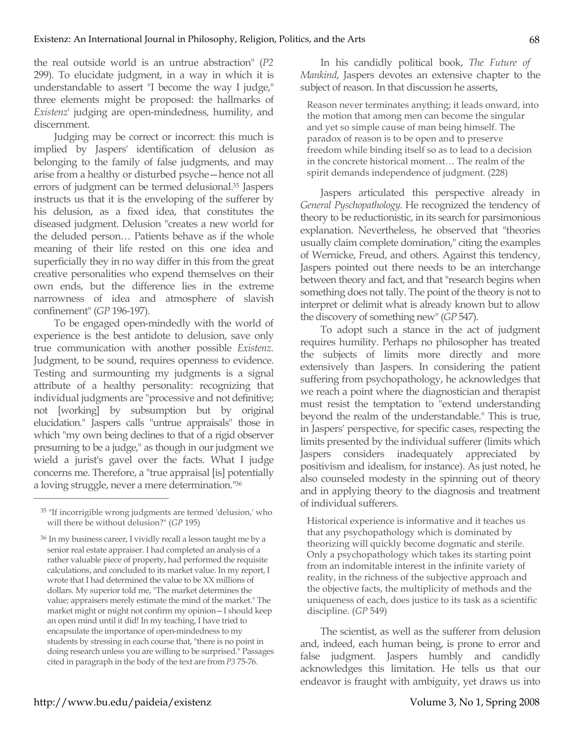the real outside world is an untrue abstraction" (*P2* 299). To elucidate judgment, in a way in which it is understandable to assert "I become the way I judge," three elements might be proposed: the hallmarks of *Existenz*' judging are open-mindedness, humility, and discernment.

Judging may be correct or incorrect: this much is implied by Jaspers' identification of delusion as belonging to the family of false judgments, and may arise from a healthy or disturbed psyche—hence not all errors of judgment can be termed delusional.35 Jaspers instructs us that it is the enveloping of the sufferer by his delusion, as a fixed idea, that constitutes the diseased judgment. Delusion "creates a new world for the deluded person… Patients behave as if the whole meaning of their life rested on this one idea and superficially they in no way differ in this from the great creative personalities who expend themselves on their own ends, but the difference lies in the extreme narrowness of idea and atmosphere of slavish confinement" (*GP* 196-197).

To be engaged open-mindedly with the world of experience is the best antidote to delusion, save only true communication with another possible *Existenz*. Judgment, to be sound, requires openness to evidence. Testing and surmounting my judgments is a signal attribute of a healthy personality: recognizing that individual judgments are "processive and not definitive; not [working] by subsumption but by original elucidation." Jaspers calls "untrue appraisals" those in which "my own being declines to that of a rigid observer presuming to be a judge," as though in our judgment we wield a jurist's gavel over the facts. What I judge concerns me. Therefore, a "true appraisal [is] potentially a loving struggle, never a mere determination."36

 $\overline{a}$ 

In his candidly political book, *The Future of Mankind*, Jaspers devotes an extensive chapter to the subject of reason. In that discussion he asserts,

Reason never terminates anything; it leads onward, into the motion that among men can become the singular and yet so simple cause of man being himself. The paradox of reason is to be open and to preserve freedom while binding itself so as to lead to a decision in the concrete historical moment… The realm of the spirit demands independence of judgment. (228)

Jaspers articulated this perspective already in *General Pyschopathology.* He recognized the tendency of theory to be reductionistic, in its search for parsimonious explanation. Nevertheless, he observed that "theories usually claim complete domination," citing the examples of Wernicke, Freud, and others. Against this tendency, Jaspers pointed out there needs to be an interchange between theory and fact, and that "research begins when something does not tally. The point of the theory is not to interpret or delimit what is already known but to allow the discovery of something new" (*GP* 547).

To adopt such a stance in the act of judgment requires humility. Perhaps no philosopher has treated the subjects of limits more directly and more extensively than Jaspers. In considering the patient suffering from psychopathology, he acknowledges that we reach a point where the diagnostician and therapist must resist the temptation to "extend understanding beyond the realm of the understandable." This is true, in Jaspers' perspective, for specific cases, respecting the limits presented by the individual sufferer (limits which Jaspers considers inadequately appreciated by positivism and idealism, for instance). As just noted, he also counseled modesty in the spinning out of theory and in applying theory to the diagnosis and treatment of individual sufferers.

Historical experience is informative and it teaches us that any psychopathology which is dominated by theorizing will quickly become dogmatic and sterile. Only a psychopathology which takes its starting point from an indomitable interest in the infinite variety of reality, in the richness of the subjective approach and the objective facts, the multiplicity of methods and the uniqueness of each, does justice to its task as a scientific discipline. (*GP* 549)

The scientist, as well as the sufferer from delusion and, indeed, each human being, is prone to error and false judgment. Jaspers humbly and candidly acknowledges this limitation. He tells us that our endeavor is fraught with ambiguity, yet draws us into

<sup>35 &</sup>quot;If incorrigible wrong judgments are termed 'delusion,' who will there be without delusion?" (*GP* 195)

<sup>36</sup> In my business career, I vividly recall a lesson taught me by a senior real estate appraiser. I had completed an analysis of a rather valuable piece of property, had performed the requisite calculations, and concluded to its market value. In my report, I wrote that I had determined the value to be XX millions of dollars. My superior told me, "The market determines the value; appraisers merely estimate the mind of the market." The market might or might not confirm my opinion—I should keep an open mind until it did! In my teaching, I have tried to encapsulate the importance of open-mindedness to my students by stressing in each course that, "there is no point in doing research unless you are willing to be surprised." Passages cited in paragraph in the body of the text are from *P3* 75-76.